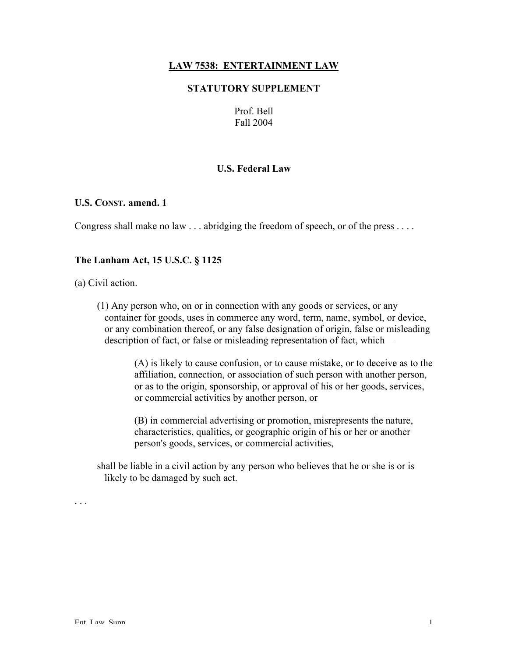## LAW 7538: ENTERTAINMENT LAW

## STATUTORY SUPPLEMENT

Prof. Bell Fall 2004

#### U.S. Federal Law

### U.S. CONST. amend. 1

Congress shall make no law . . . abridging the freedom of speech, or of the press . . . .

## The Lanham Act, 15 U.S.C. § 1125

(a) Civil action.

 (1) Any person who, on or in connection with any goods or services, or any container for goods, uses in commerce any word, term, name, symbol, or device, or any combination thereof, or any false designation of origin, false or misleading description of fact, or false or misleading representation of fact, which—

> (A) is likely to cause confusion, or to cause mistake, or to deceive as to the affiliation, connection, or association of such person with another person, or as to the origin, sponsorship, or approval of his or her goods, services, or commercial activities by another person, or

 (B) in commercial advertising or promotion, misrepresents the nature, characteristics, qualities, or geographic origin of his or her or another person's goods, services, or commercial activities,

 shall be liable in a civil action by any person who believes that he or she is or is likely to be damaged by such act.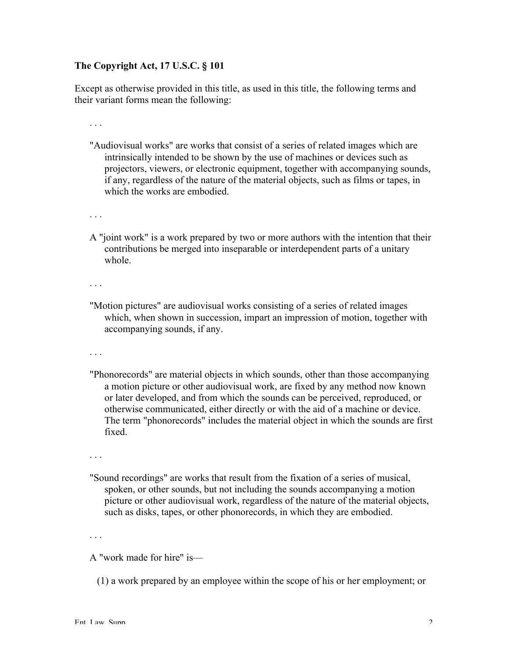### The Copyright Act, 17 U.S.C. § 101

Except as otherwise provided in this title, as used in this title, the following terms and their variant forms mean the following:

. . .

"Audiovisual works" are works that consist of a series of related images which are intrinsically intended to be shown by the use of machines or devices such as projectors, viewers, or electronic equipment, together with accompanying sounds, if any, regardless of the nature of the material objects, such as films or tapes, in which the works are embodied.

. . .

A "joint work" is a work prepared by two or more authors with the intention that their contributions be merged into inseparable or interdependent parts of a unitary whole.

. . .

"Motion pictures" are audiovisual works consisting of a series of related images which, when shown in succession, impart an impression of motion, together with accompanying sounds, if any.

. . .

"Phonorecords" are material objects in which sounds, other than those accompanying a motion picture or other audiovisual work, are fixed by any method now known or later developed, and from which the sounds can be perceived, reproduced, or otherwise communicated, either directly or with the aid of a machine or device. The term "phonorecords" includes the material object in which the sounds are first fixed.

. . .

"Sound recordings" are works that result from the fixation of a series of musical, spoken, or other sounds, but not including the sounds accompanying a motion picture or other audiovisual work, regardless of the nature of the material objects, such as disks, tapes, or other phonorecords, in which they are embodied.

. . .

A "work made for hire" is—

(1) a work prepared by an employee within the scope of his or her employment; or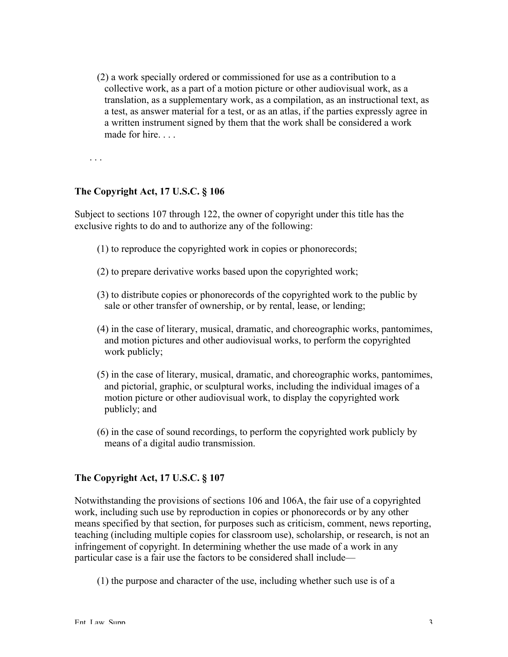(2) a work specially ordered or commissioned for use as a contribution to a collective work, as a part of a motion picture or other audiovisual work, as a translation, as a supplementary work, as a compilation, as an instructional text, as a test, as answer material for a test, or as an atlas, if the parties expressly agree in a written instrument signed by them that the work shall be considered a work made for hire. . . .

. . .

## The Copyright Act, 17 U.S.C. § 106

Subject to sections 107 through 122, the owner of copyright under this title has the exclusive rights to do and to authorize any of the following:

- (1) to reproduce the copyrighted work in copies or phonorecords;
- (2) to prepare derivative works based upon the copyrighted work;
- (3) to distribute copies or phonorecords of the copyrighted work to the public by sale or other transfer of ownership, or by rental, lease, or lending;
- (4) in the case of literary, musical, dramatic, and choreographic works, pantomimes, and motion pictures and other audiovisual works, to perform the copyrighted work publicly;
- (5) in the case of literary, musical, dramatic, and choreographic works, pantomimes, and pictorial, graphic, or sculptural works, including the individual images of a motion picture or other audiovisual work, to display the copyrighted work publicly; and
- (6) in the case of sound recordings, to perform the copyrighted work publicly by means of a digital audio transmission.

### The Copyright Act, 17 U.S.C. § 107

Notwithstanding the provisions of sections 106 and 106A, the fair use of a copyrighted work, including such use by reproduction in copies or phonorecords or by any other means specified by that section, for purposes such as criticism, comment, news reporting, teaching (including multiple copies for classroom use), scholarship, or research, is not an infringement of copyright. In determining whether the use made of a work in any particular case is a fair use the factors to be considered shall include—

(1) the purpose and character of the use, including whether such use is of a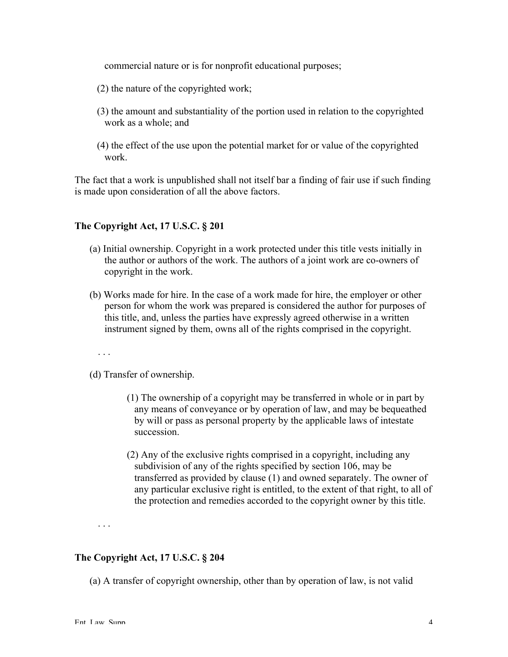commercial nature or is for nonprofit educational purposes;

- (2) the nature of the copyrighted work;
- (3) the amount and substantiality of the portion used in relation to the copyrighted work as a whole; and
- (4) the effect of the use upon the potential market for or value of the copyrighted work.

The fact that a work is unpublished shall not itself bar a finding of fair use if such finding is made upon consideration of all the above factors.

## The Copyright Act, 17 U.S.C. § 201

- (a) Initial ownership. Copyright in a work protected under this title vests initially in the author or authors of the work. The authors of a joint work are co-owners of copyright in the work.
- (b) Works made for hire. In the case of a work made for hire, the employer or other person for whom the work was prepared is considered the author for purposes of this title, and, unless the parties have expressly agreed otherwise in a written instrument signed by them, owns all of the rights comprised in the copyright.

. . .

- (d) Transfer of ownership.
	- (1) The ownership of a copyright may be transferred in whole or in part by any means of conveyance or by operation of law, and may be bequeathed by will or pass as personal property by the applicable laws of intestate succession.
	- (2) Any of the exclusive rights comprised in a copyright, including any subdivision of any of the rights specified by section 106, may be transferred as provided by clause (1) and owned separately. The owner of any particular exclusive right is entitled, to the extent of that right, to all of the protection and remedies accorded to the copyright owner by this title.

. . .

## The Copyright Act, 17 U.S.C. § 204

(a) A transfer of copyright ownership, other than by operation of law, is not valid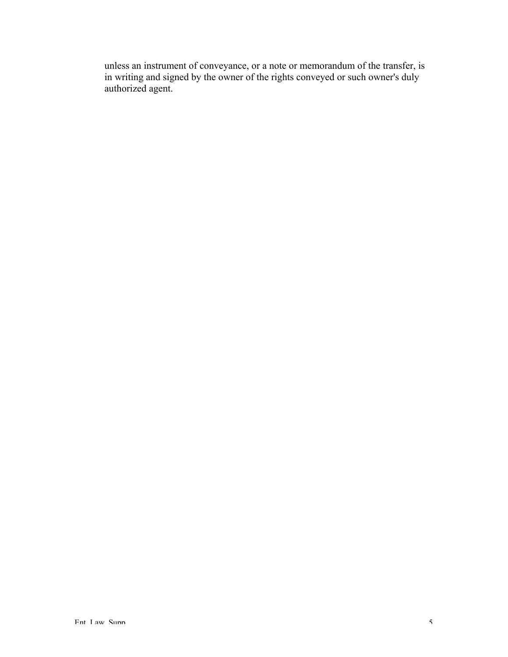unless an instrument of conveyance, or a note or memorandum of the transfer, is in writing and signed by the owner of the rights conveyed or such owner's duly authorized agent.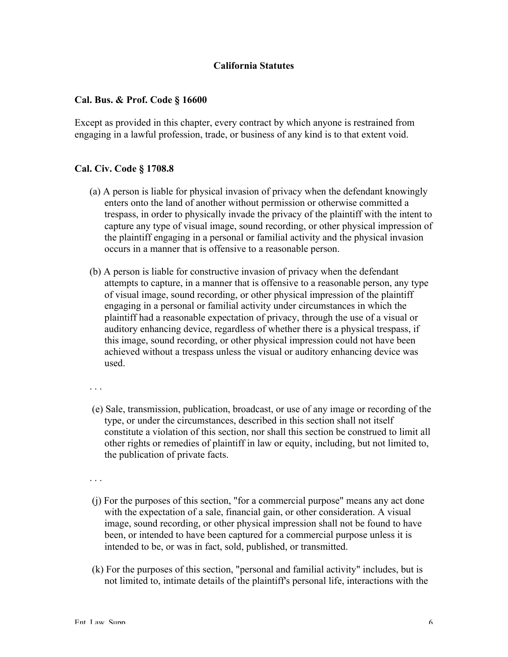## California Statutes

## Cal. Bus. & Prof. Code § 16600

Except as provided in this chapter, every contract by which anyone is restrained from engaging in a lawful profession, trade, or business of any kind is to that extent void.

## Cal. Civ. Code § 1708.8

- (a) A person is liable for physical invasion of privacy when the defendant knowingly enters onto the land of another without permission or otherwise committed a trespass, in order to physically invade the privacy of the plaintiff with the intent to capture any type of visual image, sound recording, or other physical impression of the plaintiff engaging in a personal or familial activity and the physical invasion occurs in a manner that is offensive to a reasonable person.
- (b) A person is liable for constructive invasion of privacy when the defendant attempts to capture, in a manner that is offensive to a reasonable person, any type of visual image, sound recording, or other physical impression of the plaintiff engaging in a personal or familial activity under circumstances in which the plaintiff had a reasonable expectation of privacy, through the use of a visual or auditory enhancing device, regardless of whether there is a physical trespass, if this image, sound recording, or other physical impression could not have been achieved without a trespass unless the visual or auditory enhancing device was used.
- . . .
- (e) Sale, transmission, publication, broadcast, or use of any image or recording of the type, or under the circumstances, described in this section shall not itself constitute a violation of this section, nor shall this section be construed to limit all other rights or remedies of plaintiff in law or equity, including, but not limited to, the publication of private facts.

- (j) For the purposes of this section, "for a commercial purpose" means any act done with the expectation of a sale, financial gain, or other consideration. A visual image, sound recording, or other physical impression shall not be found to have been, or intended to have been captured for a commercial purpose unless it is intended to be, or was in fact, sold, published, or transmitted.
- (k) For the purposes of this section, "personal and familial activity" includes, but is not limited to, intimate details of the plaintiff's personal life, interactions with the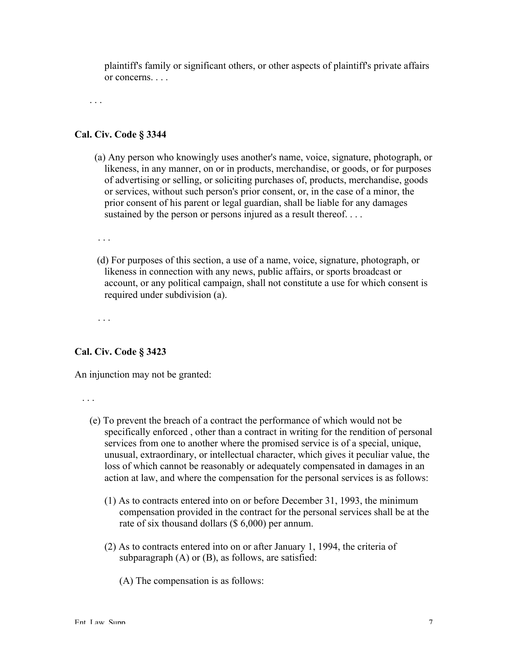plaintiff's family or significant others, or other aspects of plaintiff's private affairs or concerns. . . .

. . .

## Cal. Civ. Code § 3344

 (a) Any person who knowingly uses another's name, voice, signature, photograph, or likeness, in any manner, on or in products, merchandise, or goods, or for purposes of advertising or selling, or soliciting purchases of, products, merchandise, goods or services, without such person's prior consent, or, in the case of a minor, the prior consent of his parent or legal guardian, shall be liable for any damages sustained by the person or persons injured as a result thereof. . . .

. . .

 (d) For purposes of this section, a use of a name, voice, signature, photograph, or likeness in connection with any news, public affairs, or sports broadcast or account, or any political campaign, shall not constitute a use for which consent is required under subdivision (a).

. . .

# Cal. Civ. Code § 3423

An injunction may not be granted:

- (e) To prevent the breach of a contract the performance of which would not be specifically enforced , other than a contract in writing for the rendition of personal services from one to another where the promised service is of a special, unique, unusual, extraordinary, or intellectual character, which gives it peculiar value, the loss of which cannot be reasonably or adequately compensated in damages in an action at law, and where the compensation for the personal services is as follows:
	- (1) As to contracts entered into on or before December 31, 1993, the minimum compensation provided in the contract for the personal services shall be at the rate of six thousand dollars (\$ 6,000) per annum.
	- (2) As to contracts entered into on or after January 1, 1994, the criteria of subparagraph  $(A)$  or  $(B)$ , as follows, are satisfied:
		- (A) The compensation is as follows: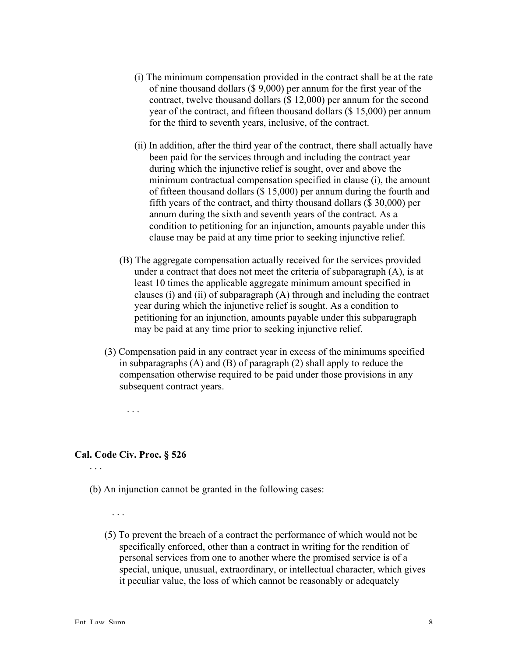- (i) The minimum compensation provided in the contract shall be at the rate of nine thousand dollars (\$ 9,000) per annum for the first year of the contract, twelve thousand dollars (\$ 12,000) per annum for the second year of the contract, and fifteen thousand dollars (\$ 15,000) per annum for the third to seventh years, inclusive, of the contract.
- (ii) In addition, after the third year of the contract, there shall actually have been paid for the services through and including the contract year during which the injunctive relief is sought, over and above the minimum contractual compensation specified in clause (i), the amount of fifteen thousand dollars (\$ 15,000) per annum during the fourth and fifth years of the contract, and thirty thousand dollars (\$ 30,000) per annum during the sixth and seventh years of the contract. As a condition to petitioning for an injunction, amounts payable under this clause may be paid at any time prior to seeking injunctive relief.
- (B) The aggregate compensation actually received for the services provided under a contract that does not meet the criteria of subparagraph (A), is at least 10 times the applicable aggregate minimum amount specified in clauses (i) and (ii) of subparagraph (A) through and including the contract year during which the injunctive relief is sought. As a condition to petitioning for an injunction, amounts payable under this subparagraph may be paid at any time prior to seeking injunctive relief.
- (3) Compensation paid in any contract year in excess of the minimums specified in subparagraphs (A) and (B) of paragraph (2) shall apply to reduce the compensation otherwise required to be paid under those provisions in any subsequent contract years.

. . .

#### Cal. Code Civ. Proc. § 526

- . . .
- (b) An injunction cannot be granted in the following cases:
	- (5) To prevent the breach of a contract the performance of which would not be specifically enforced, other than a contract in writing for the rendition of personal services from one to another where the promised service is of a special, unique, unusual, extraordinary, or intellectual character, which gives it peculiar value, the loss of which cannot be reasonably or adequately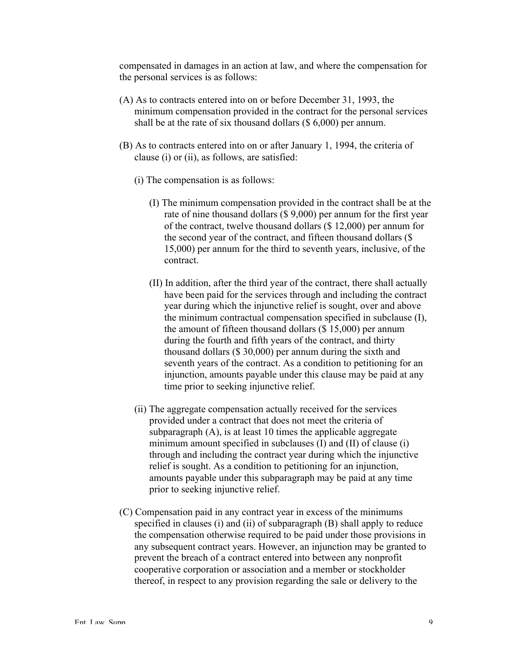compensated in damages in an action at law, and where the compensation for the personal services is as follows:

- (A) As to contracts entered into on or before December 31, 1993, the minimum compensation provided in the contract for the personal services shall be at the rate of six thousand dollars (\$ 6,000) per annum.
- (B) As to contracts entered into on or after January 1, 1994, the criteria of clause (i) or (ii), as follows, are satisfied:
	- (i) The compensation is as follows:
		- (I) The minimum compensation provided in the contract shall be at the rate of nine thousand dollars (\$ 9,000) per annum for the first year of the contract, twelve thousand dollars (\$ 12,000) per annum for the second year of the contract, and fifteen thousand dollars (\$ 15,000) per annum for the third to seventh years, inclusive, of the contract.
		- (II) In addition, after the third year of the contract, there shall actually have been paid for the services through and including the contract year during which the injunctive relief is sought, over and above the minimum contractual compensation specified in subclause (I), the amount of fifteen thousand dollars (\$ 15,000) per annum during the fourth and fifth years of the contract, and thirty thousand dollars (\$ 30,000) per annum during the sixth and seventh years of the contract. As a condition to petitioning for an injunction, amounts payable under this clause may be paid at any time prior to seeking injunctive relief.
	- (ii) The aggregate compensation actually received for the services provided under a contract that does not meet the criteria of subparagraph (A), is at least 10 times the applicable aggregate minimum amount specified in subclauses (I) and (II) of clause (i) through and including the contract year during which the injunctive relief is sought. As a condition to petitioning for an injunction, amounts payable under this subparagraph may be paid at any time prior to seeking injunctive relief.
- (C) Compensation paid in any contract year in excess of the minimums specified in clauses (i) and (ii) of subparagraph (B) shall apply to reduce the compensation otherwise required to be paid under those provisions in any subsequent contract years. However, an injunction may be granted to prevent the breach of a contract entered into between any nonprofit cooperative corporation or association and a member or stockholder thereof, in respect to any provision regarding the sale or delivery to the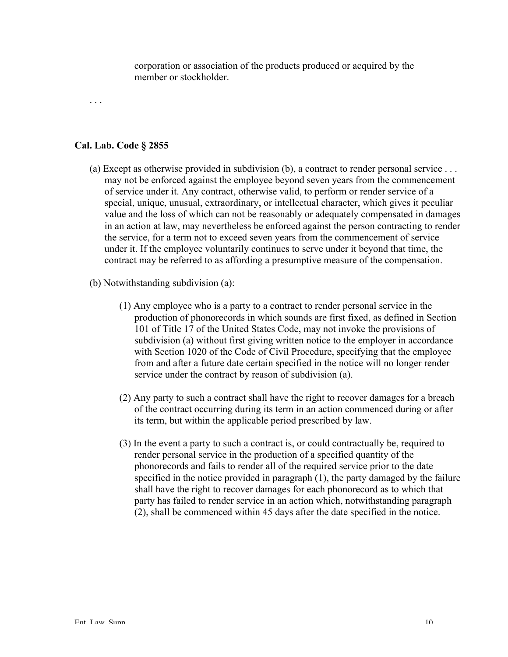corporation or association of the products produced or acquired by the member or stockholder.

. . .

## Cal. Lab. Code § 2855

- (a) Except as otherwise provided in subdivision (b), a contract to render personal service . . . may not be enforced against the employee beyond seven years from the commencement of service under it. Any contract, otherwise valid, to perform or render service of a special, unique, unusual, extraordinary, or intellectual character, which gives it peculiar value and the loss of which can not be reasonably or adequately compensated in damages in an action at law, may nevertheless be enforced against the person contracting to render the service, for a term not to exceed seven years from the commencement of service under it. If the employee voluntarily continues to serve under it beyond that time, the contract may be referred to as affording a presumptive measure of the compensation.
- (b) Notwithstanding subdivision (a):
	- (1) Any employee who is a party to a contract to render personal service in the production of phonorecords in which sounds are first fixed, as defined in Section 101 of Title 17 of the United States Code, may not invoke the provisions of subdivision (a) without first giving written notice to the employer in accordance with Section 1020 of the Code of Civil Procedure, specifying that the employee from and after a future date certain specified in the notice will no longer render service under the contract by reason of subdivision (a).
	- (2) Any party to such a contract shall have the right to recover damages for a breach of the contract occurring during its term in an action commenced during or after its term, but within the applicable period prescribed by law.
	- (3) In the event a party to such a contract is, or could contractually be, required to render personal service in the production of a specified quantity of the phonorecords and fails to render all of the required service prior to the date specified in the notice provided in paragraph (1), the party damaged by the failure shall have the right to recover damages for each phonorecord as to which that party has failed to render service in an action which, notwithstanding paragraph (2), shall be commenced within 45 days after the date specified in the notice.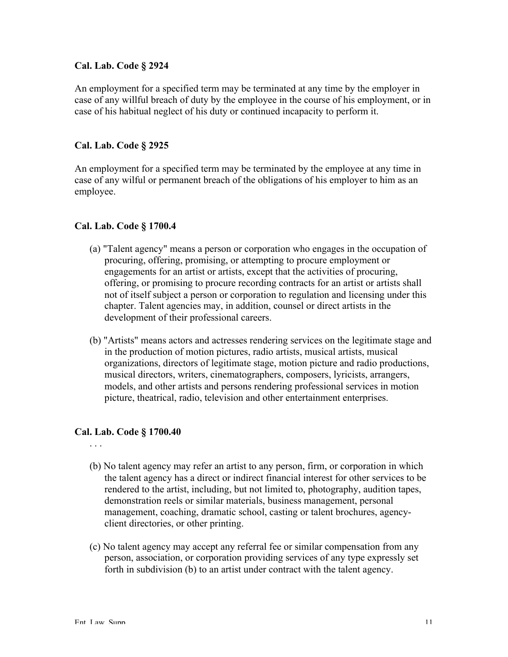## Cal. Lab. Code § 2924

An employment for a specified term may be terminated at any time by the employer in case of any willful breach of duty by the employee in the course of his employment, or in case of his habitual neglect of his duty or continued incapacity to perform it.

## Cal. Lab. Code § 2925

An employment for a specified term may be terminated by the employee at any time in case of any wilful or permanent breach of the obligations of his employer to him as an employee.

#### Cal. Lab. Code § 1700.4

- (a) "Talent agency" means a person or corporation who engages in the occupation of procuring, offering, promising, or attempting to procure employment or engagements for an artist or artists, except that the activities of procuring, offering, or promising to procure recording contracts for an artist or artists shall not of itself subject a person or corporation to regulation and licensing under this chapter. Talent agencies may, in addition, counsel or direct artists in the development of their professional careers.
- (b) "Artists" means actors and actresses rendering services on the legitimate stage and in the production of motion pictures, radio artists, musical artists, musical organizations, directors of legitimate stage, motion picture and radio productions, musical directors, writers, cinematographers, composers, lyricists, arrangers, models, and other artists and persons rendering professional services in motion picture, theatrical, radio, television and other entertainment enterprises.

#### Cal. Lab. Code § 1700.40

- (b) No talent agency may refer an artist to any person, firm, or corporation in which the talent agency has a direct or indirect financial interest for other services to be rendered to the artist, including, but not limited to, photography, audition tapes, demonstration reels or similar materials, business management, personal management, coaching, dramatic school, casting or talent brochures, agencyclient directories, or other printing.
- (c) No talent agency may accept any referral fee or similar compensation from any person, association, or corporation providing services of any type expressly set forth in subdivision (b) to an artist under contract with the talent agency.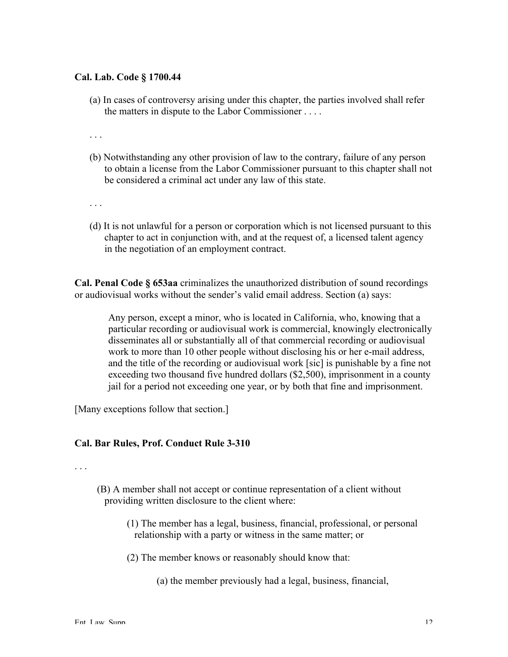### Cal. Lab. Code § 1700.44

(a) In cases of controversy arising under this chapter, the parties involved shall refer the matters in dispute to the Labor Commissioner . . . .

. . .

(b) Notwithstanding any other provision of law to the contrary, failure of any person to obtain a license from the Labor Commissioner pursuant to this chapter shall not be considered a criminal act under any law of this state.

. . .

(d) It is not unlawful for a person or corporation which is not licensed pursuant to this chapter to act in conjunction with, and at the request of, a licensed talent agency in the negotiation of an employment contract.

Cal. Penal Code § 653aa criminalizes the unauthorized distribution of sound recordings or audiovisual works without the sender's valid email address. Section (a) says:

Any person, except a minor, who is located in California, who, knowing that a particular recording or audiovisual work is commercial, knowingly electronically disseminates all or substantially all of that commercial recording or audiovisual work to more than 10 other people without disclosing his or her e-mail address, and the title of the recording or audiovisual work [sic] is punishable by a fine not exceeding two thousand five hundred dollars (\$2,500), imprisonment in a county jail for a period not exceeding one year, or by both that fine and imprisonment.

[Many exceptions follow that section.]

### Cal. Bar Rules, Prof. Conduct Rule 3-310

- (B) A member shall not accept or continue representation of a client without providing written disclosure to the client where:
	- (1) The member has a legal, business, financial, professional, or personal relationship with a party or witness in the same matter; or
	- (2) The member knows or reasonably should know that:
		- (a) the member previously had a legal, business, financial,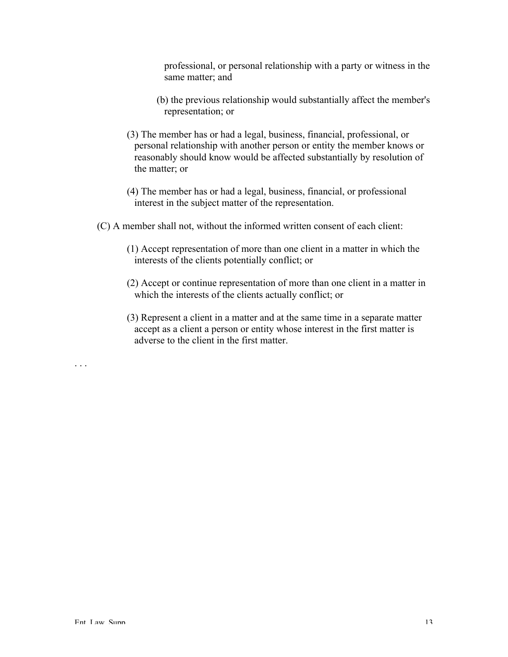professional, or personal relationship with a party or witness in the same matter; and

- (b) the previous relationship would substantially affect the member's representation; or
- (3) The member has or had a legal, business, financial, professional, or personal relationship with another person or entity the member knows or reasonably should know would be affected substantially by resolution of the matter; or
- (4) The member has or had a legal, business, financial, or professional interest in the subject matter of the representation.
- (C) A member shall not, without the informed written consent of each client:
	- (1) Accept representation of more than one client in a matter in which the interests of the clients potentially conflict; or
	- (2) Accept or continue representation of more than one client in a matter in which the interests of the clients actually conflict; or
	- (3) Represent a client in a matter and at the same time in a separate matter accept as a client a person or entity whose interest in the first matter is adverse to the client in the first matter.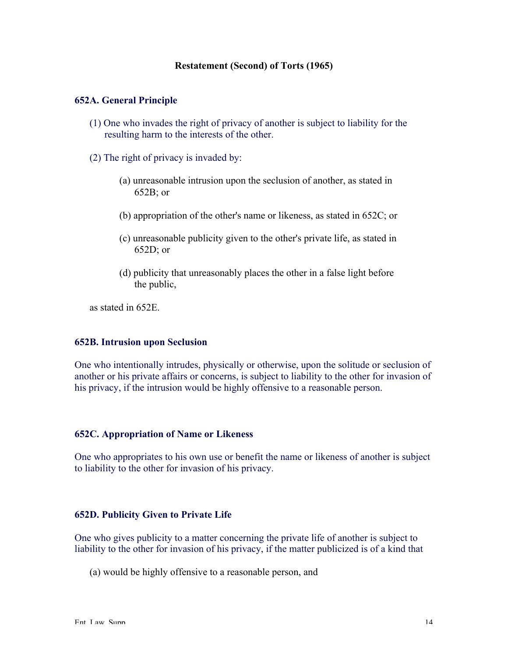## Restatement (Second) of Torts (1965)

### 652A. General Principle

- (1) One who invades the right of privacy of another is subject to liability for the resulting harm to the interests of the other.
- (2) The right of privacy is invaded by:
	- (a) unreasonable intrusion upon the seclusion of another, as stated in 652B; or
	- (b) appropriation of the other's name or likeness, as stated in 652C; or
	- (c) unreasonable publicity given to the other's private life, as stated in 652D; or
	- (d) publicity that unreasonably places the other in a false light before the public,

as stated in 652E.

#### 652B. Intrusion upon Seclusion

One who intentionally intrudes, physically or otherwise, upon the solitude or seclusion of another or his private affairs or concerns, is subject to liability to the other for invasion of his privacy, if the intrusion would be highly offensive to a reasonable person.

#### 652C. Appropriation of Name or Likeness

One who appropriates to his own use or benefit the name or likeness of another is subject to liability to the other for invasion of his privacy.

#### 652D. Publicity Given to Private Life

One who gives publicity to a matter concerning the private life of another is subject to liability to the other for invasion of his privacy, if the matter publicized is of a kind that

(a) would be highly offensive to a reasonable person, and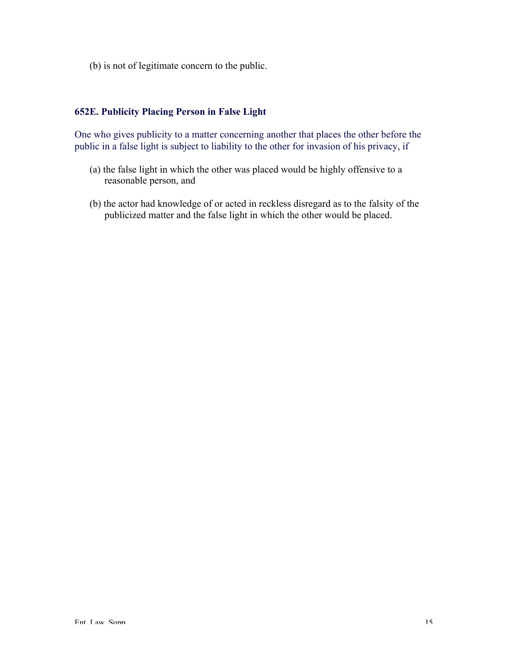(b) is not of legitimate concern to the public.

## 652E. Publicity Placing Person in False Light

One who gives publicity to a matter concerning another that places the other before the public in a false light is subject to liability to the other for invasion of his privacy, if

- (a) the false light in which the other was placed would be highly offensive to a reasonable person, and
- (b) the actor had knowledge of or acted in reckless disregard as to the falsity of the publicized matter and the false light in which the other would be placed.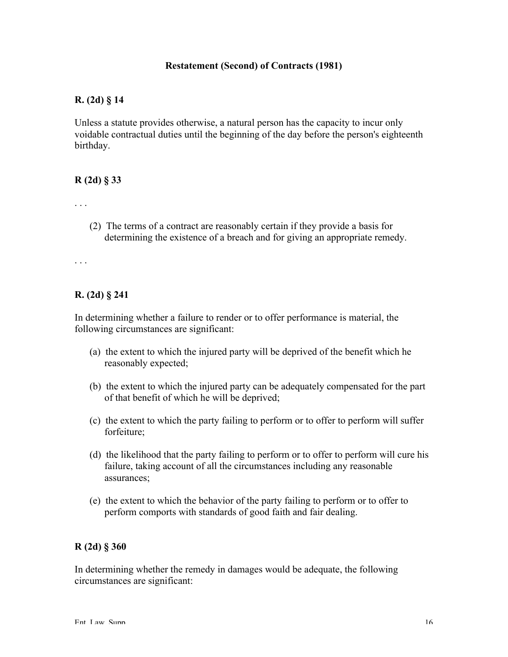## Restatement (Second) of Contracts (1981)

## R. (2d) § 14

Unless a statute provides otherwise, a natural person has the capacity to incur only voidable contractual duties until the beginning of the day before the person's eighteenth birthday.

# R (2d) § 33

. . .

(2) The terms of a contract are reasonably certain if they provide a basis for determining the existence of a breach and for giving an appropriate remedy.

. . .

## R. (2d) § 241

In determining whether a failure to render or to offer performance is material, the following circumstances are significant:

- (a) the extent to which the injured party will be deprived of the benefit which he reasonably expected;
- (b) the extent to which the injured party can be adequately compensated for the part of that benefit of which he will be deprived;
- (c) the extent to which the party failing to perform or to offer to perform will suffer forfeiture;
- (d) the likelihood that the party failing to perform or to offer to perform will cure his failure, taking account of all the circumstances including any reasonable assurances;
- (e) the extent to which the behavior of the party failing to perform or to offer to perform comports with standards of good faith and fair dealing.

## R (2d) § 360

In determining whether the remedy in damages would be adequate, the following circumstances are significant: